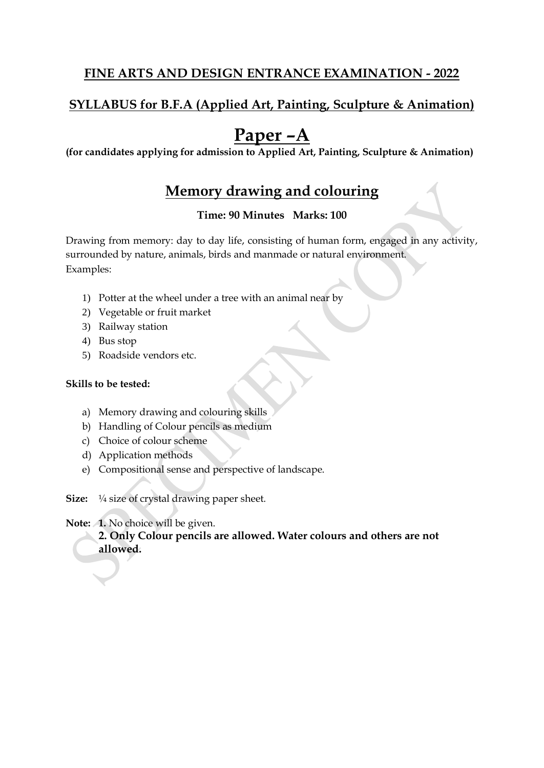## **SYLLABUS for B.F.A (Applied Art, Painting, Sculpture & Animation)**

## **Paper –A**

**(for candidates applying for admission to Applied Art, Painting, Sculpture & Animation)**

## **Memory drawing and colouring**

#### **Time: 90 Minutes Marks: 100**

Drawing from memory: day to day life, consisting of human form, engaged in any activity, surrounded by nature, animals, birds and manmade or natural environment. Examples:

- 1) Potter at the wheel under a tree with an animal near by
- 2) Vegetable or fruit market
- 3) Railway station
- 4) Bus stop
- 5) Roadside vendors etc.

#### **Skills to be tested:**

- a) Memory drawing and colouring skills
- b) Handling of Colour pencils as medium
- c) Choice of colour scheme
- d) Application methods
- e) Compositional sense and perspective of landscape.

**Size:** ¼ size of crystal drawing paper sheet.

#### **Note: 1.** No choice will be given.

**2. Only Colour pencils are allowed. Water colours and others are not allowed.**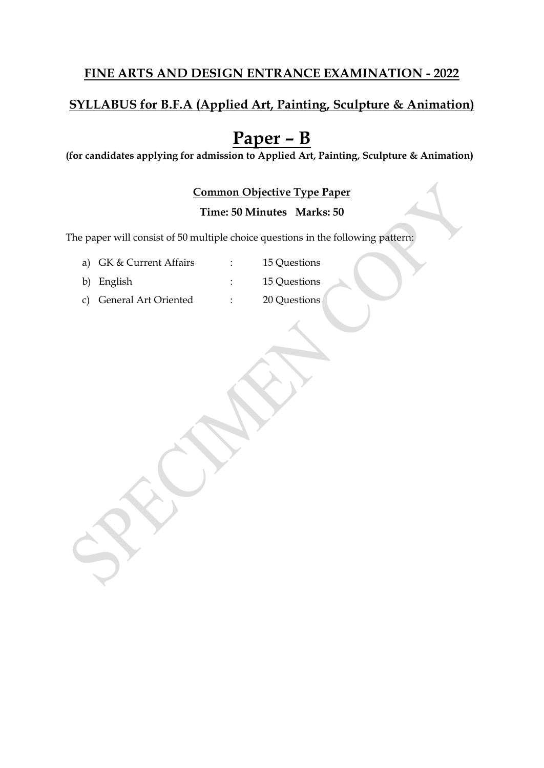## **SYLLABUS for B.F.A (Applied Art, Painting, Sculpture & Animation)**

## **Paper – B**

**(for candidates applying for admission to Applied Art, Painting, Sculpture & Animation)**

#### **Common Objective Type Paper**

#### **Time: 50 Minutes Marks: 50**

The paper will consist of 50 multiple choice questions in the following pattern:

a) GK & Current Affairs : 15 Questions

- 
- b) English : 15 Questions
- c) General Art Oriented : 20 Questions
	-
-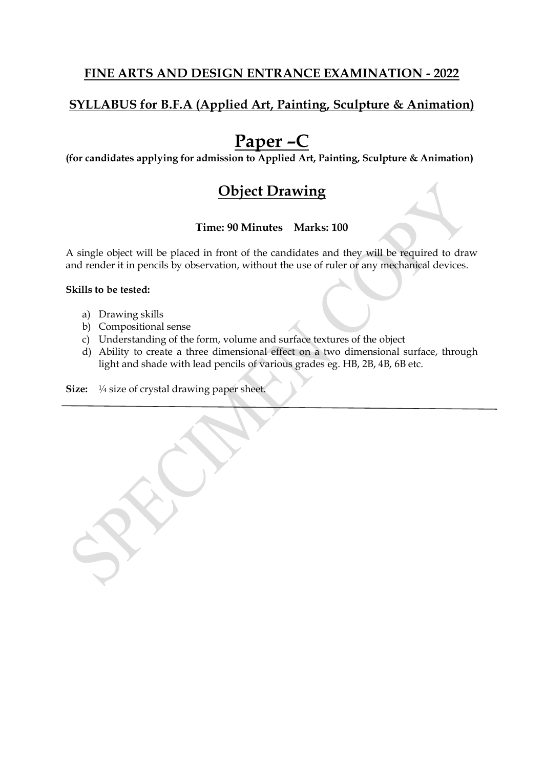## **SYLLABUS for B.F.A (Applied Art, Painting, Sculpture & Animation)**

## **Paper –C**

**(for candidates applying for admission to Applied Art, Painting, Sculpture & Animation)**

## **Object Drawing**

#### **Time: 90 Minutes Marks: 100**

A single object will be placed in front of the candidates and they will be required to draw and render it in pencils by observation, without the use of ruler or any mechanical devices.

#### **Skills to be tested:**

- a) Drawing skills
- b) Compositional sense
- c) Understanding of the form, volume and surface textures of the object
- d) Ability to create a three dimensional effect on a two dimensional surface, through light and shade with lead pencils of various grades eg. HB, 2B, 4B, 6B etc.

**Size:** ¼ size of crystal drawing paper sheet.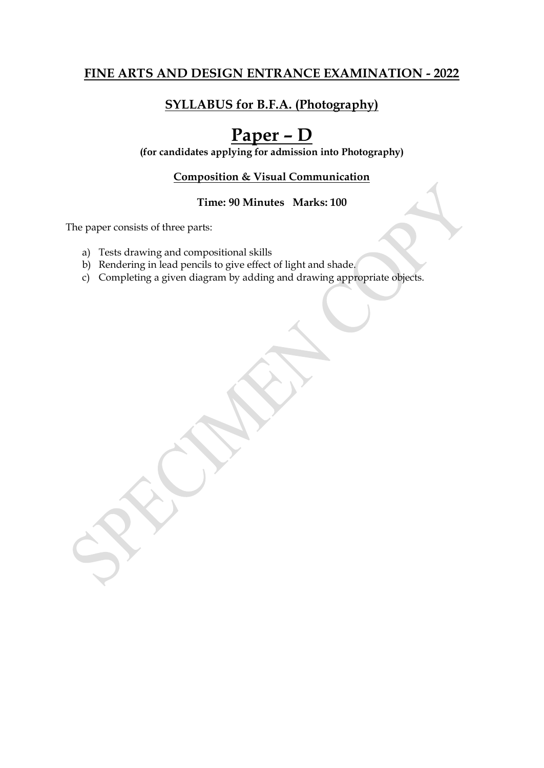## **SYLLABUS for B.F.A. (Photography)**

## **Paper – D**

**(for candidates applying for admission into Photography)**

#### **Composition & Visual Communication**

#### **Time: 90 Minutes Marks: 100**

The paper consists of three parts:

- a) Tests drawing and compositional skills
- b) Rendering in lead pencils to give effect of light and shade.
- c) Completing a given diagram by adding and drawing appropriate objects.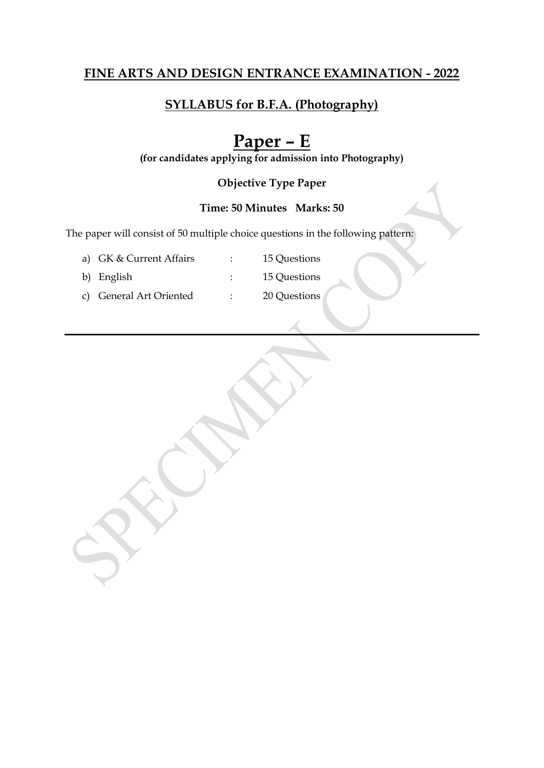## **SYLLABUS for B.F.A. (Photography)**

## **Paper – E**

**(for candidates applying for admission into Photography)**

#### **Objective Type Paper**

#### **Time: 50 Minutes Marks: 50**

The paper will consist of 50 multiple choice questions in the following pattern:

a) GK & Current Affairs : 15 Questions

- 
- b) English : 15 Questions
- c) General Art Oriented : 20 Questions
	-